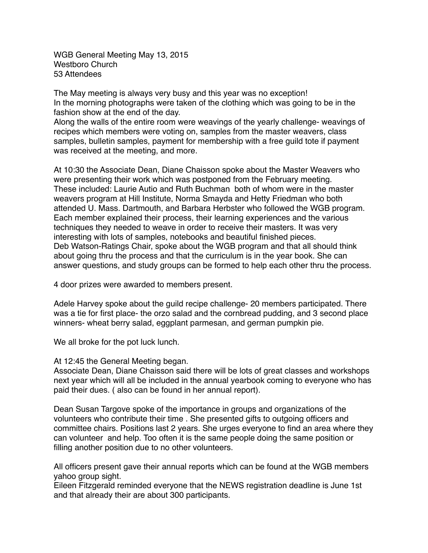WGB General Meeting May 13, 2015 Westboro Church 53 Attendees

The May meeting is always very busy and this year was no exception! In the morning photographs were taken of the clothing which was going to be in the fashion show at the end of the day.

Along the walls of the entire room were weavings of the yearly challenge- weavings of recipes which members were voting on, samples from the master weavers, class samples, bulletin samples, payment for membership with a free guild tote if payment was received at the meeting, and more.

At 10:30 the Associate Dean, Diane Chaisson spoke about the Master Weavers who were presenting their work which was postponed from the February meeting. These included: Laurie Autio and Ruth Buchman both of whom were in the master weavers program at Hill Institute, Norma Smayda and Hetty Friedman who both attended U. Mass. Dartmouth, and Barbara Herbster who followed the WGB program. Each member explained their process, their learning experiences and the various techniques they needed to weave in order to receive their masters. It was very interesting with lots of samples, notebooks and beautiful finished pieces. Deb Watson-Ratings Chair, spoke about the WGB program and that all should think about going thru the process and that the curriculum is in the year book. She can answer questions, and study groups can be formed to help each other thru the process.

4 door prizes were awarded to members present.

Adele Harvey spoke about the guild recipe challenge- 20 members participated. There was a tie for first place- the orzo salad and the cornbread pudding, and 3 second place winners- wheat berry salad, eggplant parmesan, and german pumpkin pie.

We all broke for the pot luck lunch.

## At 12:45 the General Meeting began.

Associate Dean, Diane Chaisson said there will be lots of great classes and workshops next year which will all be included in the annual yearbook coming to everyone who has paid their dues. ( also can be found in her annual report).

Dean Susan Targove spoke of the importance in groups and organizations of the volunteers who contribute their time . She presented gifts to outgoing officers and committee chairs. Positions last 2 years. She urges everyone to find an area where they can volunteer and help. Too often it is the same people doing the same position or filling another position due to no other volunteers.

All officers present gave their annual reports which can be found at the WGB members yahoo group sight.

Eileen Fitzgerald reminded everyone that the NEWS registration deadline is June 1st and that already their are about 300 participants.